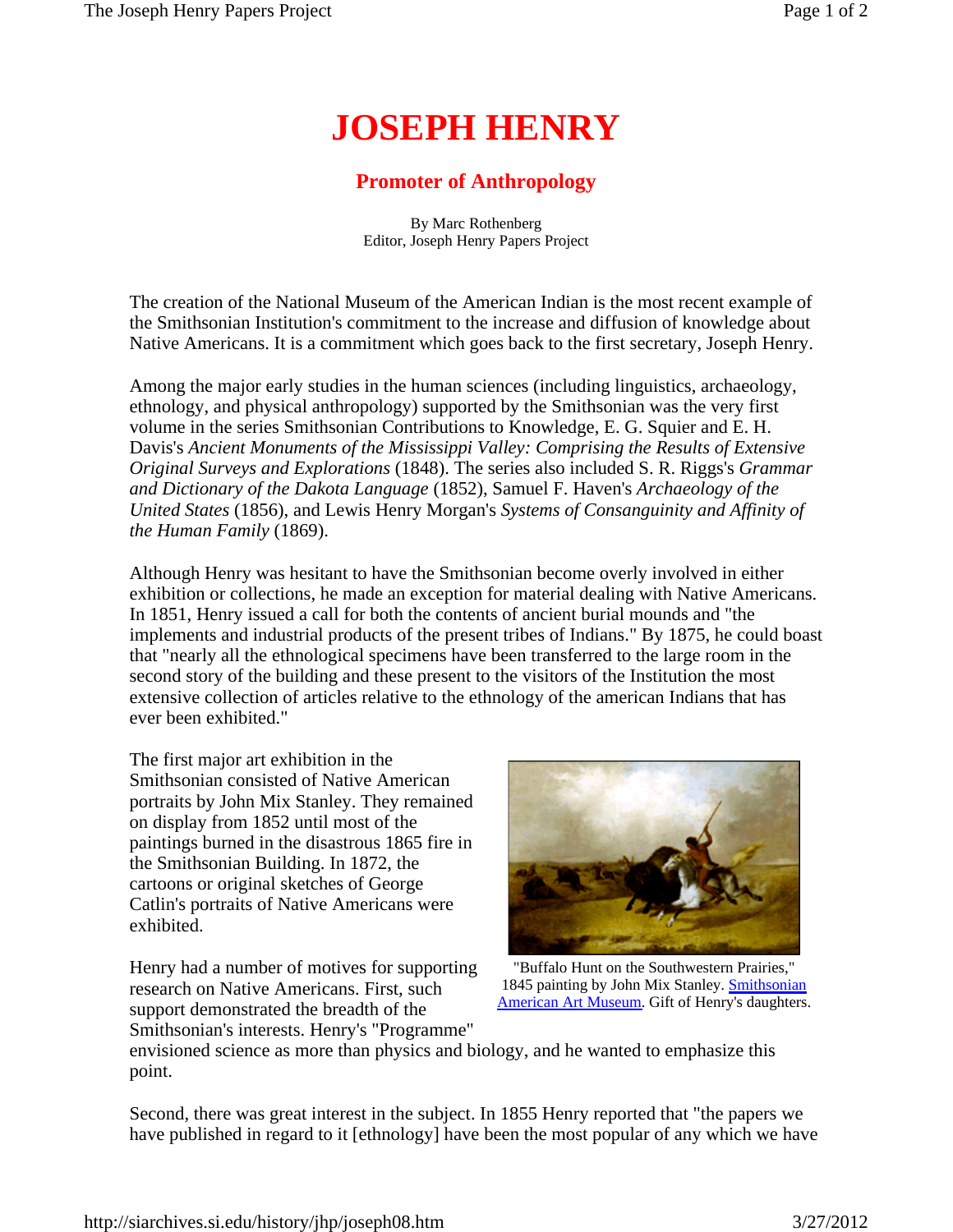## **JOSEPH HENRY**

## **Promoter of Anthropology**

By Marc Rothenberg Editor, Joseph Henry Papers Project

The creation of the National Museum of the American Indian is the most recent example of the Smithsonian Institution's commitment to the increase and diffusion of knowledge about Native Americans. It is a commitment which goes back to the first secretary, Joseph Henry.

Among the major early studies in the human sciences (including linguistics, archaeology, ethnology, and physical anthropology) supported by the Smithsonian was the very first volume in the series Smithsonian Contributions to Knowledge, E. G. Squier and E. H. Davis's *Ancient Monuments of the Mississippi Valley: Comprising the Results of Extensive Original Surveys and Explorations* (1848). The series also included S. R. Riggs's *Grammar and Dictionary of the Dakota Language* (1852), Samuel F. Haven's *Archaeology of the United States* (1856), and Lewis Henry Morgan's *Systems of Consanguinity and Affinity of the Human Family* (1869).

Although Henry was hesitant to have the Smithsonian become overly involved in either exhibition or collections, he made an exception for material dealing with Native Americans. In 1851, Henry issued a call for both the contents of ancient burial mounds and "the implements and industrial products of the present tribes of Indians." By 1875, he could boast that "nearly all the ethnological specimens have been transferred to the large room in the second story of the building and these present to the visitors of the Institution the most extensive collection of articles relative to the ethnology of the american Indians that has ever been exhibited."

The first major art exhibition in the Smithsonian consisted of Native American portraits by John Mix Stanley. They remained on display from 1852 until most of the paintings burned in the disastrous 1865 fire in the Smithsonian Building. In 1872, the cartoons or original sketches of George Catlin's portraits of Native Americans were exhibited.

Henry had a number of motives for supporting research on Native Americans. First, such support demonstrated the breadth of the Smithsonian's interests. Henry's "Programme"



 "Buffalo Hunt on the Southwestern Prairies," 1845 painting by John Mix Stanley. **Smithsonian** American Art Museum. Gift of Henry's daughters.

envisioned science as more than physics and biology, and he wanted to emphasize this point.

Second, there was great interest in the subject. In 1855 Henry reported that "the papers we have published in regard to it [ethnology] have been the most popular of any which we have